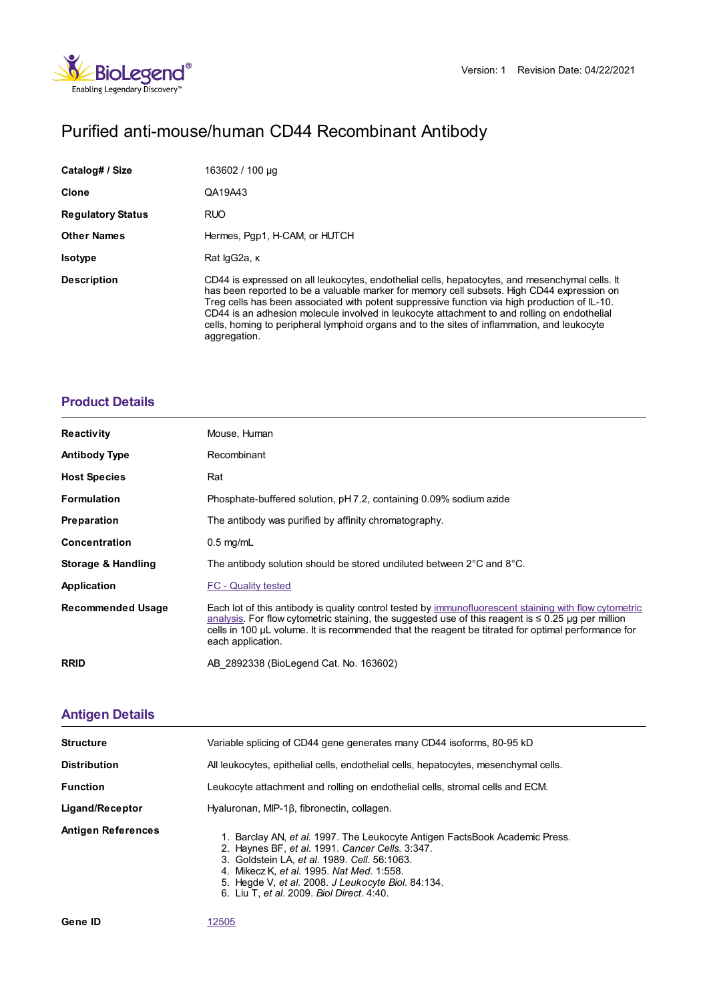

# Purified anti-mouse/human CD44 Recombinant Antibody

| Catalog# / Size          | 163602 / 100 µg                                                                                                                                                                                                                                                                                                                                                                                                                                                                                             |
|--------------------------|-------------------------------------------------------------------------------------------------------------------------------------------------------------------------------------------------------------------------------------------------------------------------------------------------------------------------------------------------------------------------------------------------------------------------------------------------------------------------------------------------------------|
| Clone                    | QA19A43                                                                                                                                                                                                                                                                                                                                                                                                                                                                                                     |
| <b>Regulatory Status</b> | <b>RUO</b>                                                                                                                                                                                                                                                                                                                                                                                                                                                                                                  |
| <b>Other Names</b>       | Hermes, Pgp1, H-CAM, or HUTCH                                                                                                                                                                                                                                                                                                                                                                                                                                                                               |
| <b>Isotype</b>           | Rat lgG2a, K                                                                                                                                                                                                                                                                                                                                                                                                                                                                                                |
| <b>Description</b>       | CD44 is expressed on all leukocytes, endothelial cells, hepatocytes, and mesenchymal cells. It<br>has been reported to be a valuable marker for memory cell subsets. High CD44 expression on<br>Treg cells has been associated with potent suppressive function via high production of IL-10.<br>CD44 is an adhesion molecule involved in leukocyte attachment to and rolling on endothelial<br>cells, homing to peripheral lymphoid organs and to the sites of inflammation, and leukocyte<br>aggregation. |

## **[Product](https://www.biolegend.com/en-us/search-results/purified-anti-mouse-human-cd44-recombinant-antibody-20751?pdf=true&displayInline=true&leftRightMargin=15&topBottomMargin=15&filename=Purified anti-mouse/human CD44 Recombinant Antibody.pdf#productDetails) Details**

| <b>Reactivity</b>             | Mouse, Human                                                                                                                                                                                                                                                                                                                                 |
|-------------------------------|----------------------------------------------------------------------------------------------------------------------------------------------------------------------------------------------------------------------------------------------------------------------------------------------------------------------------------------------|
| <b>Antibody Type</b>          | Recombinant                                                                                                                                                                                                                                                                                                                                  |
| <b>Host Species</b>           | Rat                                                                                                                                                                                                                                                                                                                                          |
| <b>Formulation</b>            | Phosphate-buffered solution, pH 7.2, containing 0.09% sodium azide                                                                                                                                                                                                                                                                           |
| <b>Preparation</b>            | The antibody was purified by affinity chromatography.                                                                                                                                                                                                                                                                                        |
| <b>Concentration</b>          | $0.5 \text{ mg/mL}$                                                                                                                                                                                                                                                                                                                          |
| <b>Storage &amp; Handling</b> | The antibody solution should be stored undiluted between 2 $\degree$ C and 8 $\degree$ C.                                                                                                                                                                                                                                                    |
| Application                   | <b>FC</b> - Quality tested                                                                                                                                                                                                                                                                                                                   |
| <b>Recommended Usage</b>      | Each lot of this antibody is quality control tested by immunofluorescent staining with flow cytometric<br>analysis. For flow cytometric staining, the suggested use of this reagent is $\leq 0.25$ ug per million<br>cells in 100 µL volume. It is recommended that the reagent be titrated for optimal performance for<br>each application. |
| <b>RRID</b>                   | AB 2892338 (BioLegend Cat. No. 163602)                                                                                                                                                                                                                                                                                                       |

## **[Antigen](https://www.biolegend.com/en-us/search-results/purified-anti-mouse-human-cd44-recombinant-antibody-20751?pdf=true&displayInline=true&leftRightMargin=15&topBottomMargin=15&filename=Purified anti-mouse/human CD44 Recombinant Antibody.pdf#antigenDetails) Details**

| <b>Structure</b>          | Variable splicing of CD44 gene generates many CD44 isoforms, 80-95 kD                                                                                                                                                                                                                                                          |
|---------------------------|--------------------------------------------------------------------------------------------------------------------------------------------------------------------------------------------------------------------------------------------------------------------------------------------------------------------------------|
| <b>Distribution</b>       | All leukocytes, epithelial cells, endothelial cells, hepatocytes, mesenchymal cells.                                                                                                                                                                                                                                           |
| <b>Function</b>           | Leukocyte attachment and rolling on endothelial cells, stromal cells and ECM.                                                                                                                                                                                                                                                  |
| Ligand/Receptor           | Hyaluronan, MIP-18, fibronectin, collagen.                                                                                                                                                                                                                                                                                     |
| <b>Antigen References</b> | 1. Barclay AN, et al. 1997. The Leukocyte Antigen FactsBook Academic Press.<br>2. Haynes BF, et al. 1991. Cancer Cells. 3:347.<br>3. Goldstein LA, et al. 1989. Cell. 56:1063.<br>4. Mikecz K, et al. 1995. Nat Med. 1:558.<br>5. Hegde V, et al. 2008. J Leukocyte Biol. 84:134.<br>6. Liu T, et al. 2009. Biol Direct. 4:40. |